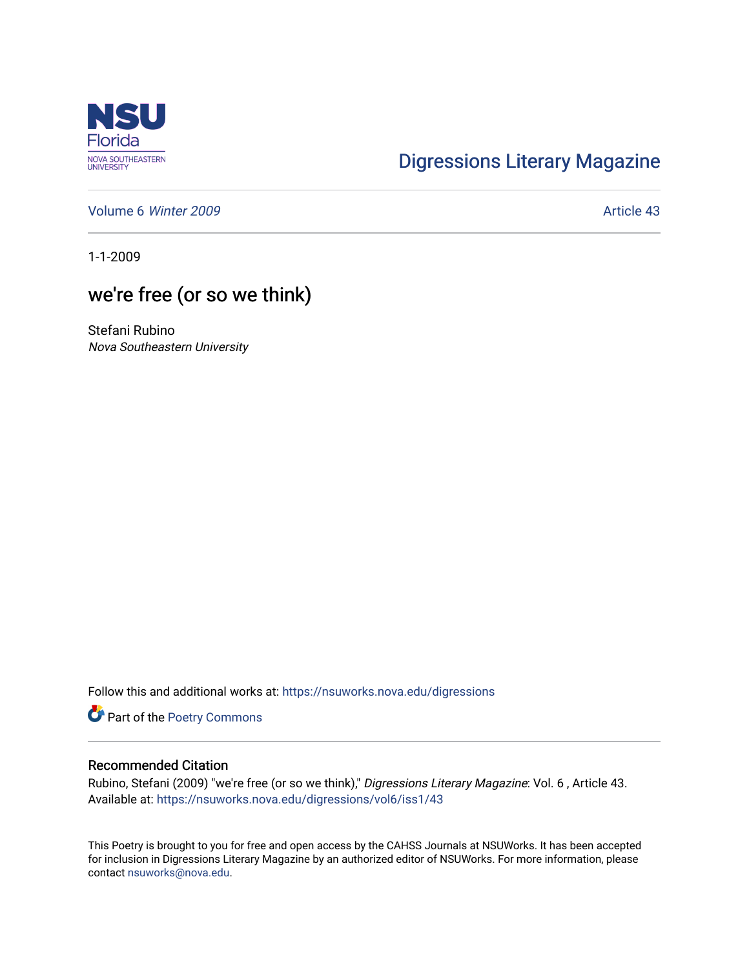

## [Digressions Literary Magazine](https://nsuworks.nova.edu/digressions)

[Volume 6](https://nsuworks.nova.edu/digressions/vol6) Winter 2009 **Article 43** 

1-1-2009

## we're free (or so we think)

Stefani Rubino Nova Southeastern University

Follow this and additional works at: [https://nsuworks.nova.edu/digressions](https://nsuworks.nova.edu/digressions?utm_source=nsuworks.nova.edu%2Fdigressions%2Fvol6%2Fiss1%2F43&utm_medium=PDF&utm_campaign=PDFCoverPages) 

Part of the [Poetry Commons](http://network.bepress.com/hgg/discipline/1153?utm_source=nsuworks.nova.edu%2Fdigressions%2Fvol6%2Fiss1%2F43&utm_medium=PDF&utm_campaign=PDFCoverPages) 

## Recommended Citation

Rubino, Stefani (2009) "we're free (or so we think)," Digressions Literary Magazine: Vol. 6 , Article 43. Available at: [https://nsuworks.nova.edu/digressions/vol6/iss1/43](https://nsuworks.nova.edu/digressions/vol6/iss1/43?utm_source=nsuworks.nova.edu%2Fdigressions%2Fvol6%2Fiss1%2F43&utm_medium=PDF&utm_campaign=PDFCoverPages) 

This Poetry is brought to you for free and open access by the CAHSS Journals at NSUWorks. It has been accepted for inclusion in Digressions Literary Magazine by an authorized editor of NSUWorks. For more information, please contact [nsuworks@nova.edu.](mailto:nsuworks@nova.edu)